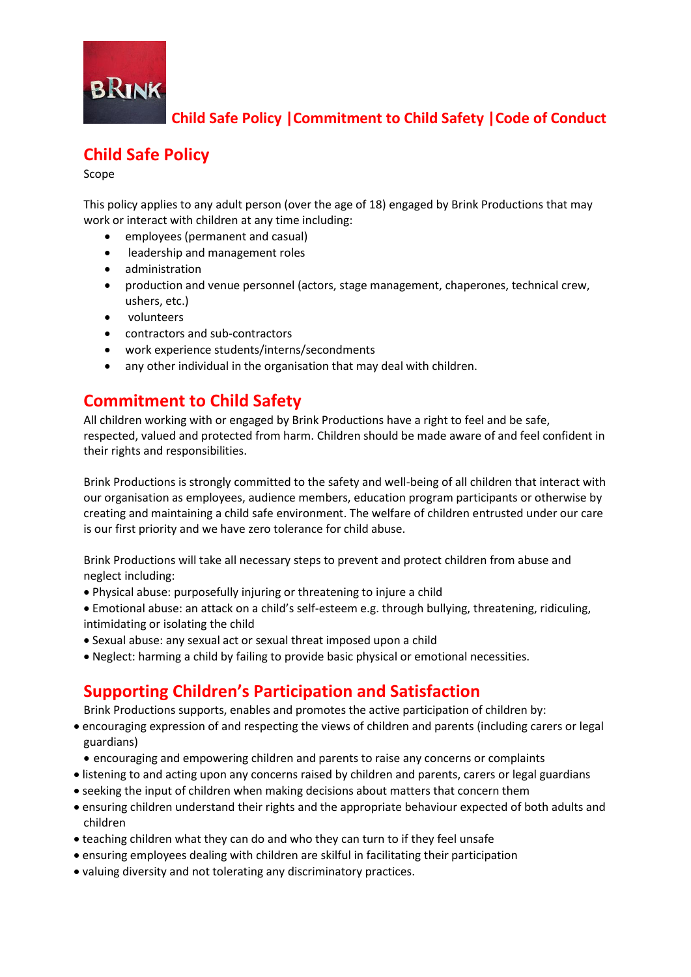

# **Child Safe Policy**

Scope

This policy applies to any adult person (over the age of 18) engaged by Brink Productions that may work or interact with children at any time including:

- employees (permanent and casual)
- leadership and management roles
- administration
- production and venue personnel (actors, stage management, chaperones, technical crew, ushers, etc.)
- volunteers
- contractors and sub-contractors
- work experience students/interns/secondments
- any other individual in the organisation that may deal with children.

### **Commitment to Child Safety**

All children working with or engaged by Brink Productions have a right to feel and be safe, respected, valued and protected from harm. Children should be made aware of and feel confident in their rights and responsibilities.

Brink Productions is strongly committed to the safety and well-being of all children that interact with our organisation as employees, audience members, education program participants or otherwise by creating and maintaining a child safe environment. The welfare of children entrusted under our care is our first priority and we have zero tolerance for child abuse.

Brink Productions will take all necessary steps to prevent and protect children from abuse and neglect including:

- Physical abuse: purposefully injuring or threatening to injure a child
- Emotional abuse: an attack on a child's self-esteem e.g. through bullying, threatening, ridiculing, intimidating or isolating the child
- Sexual abuse: any sexual act or sexual threat imposed upon a child
- Neglect: harming a child by failing to provide basic physical or emotional necessities.

#### **Supporting Children's Participation and Satisfaction**

Brink Productions supports, enables and promotes the active participation of children by:

- encouraging expression of and respecting the views of children and parents (including carers or legal guardians)
	- encouraging and empowering children and parents to raise any concerns or complaints
- listening to and acting upon any concerns raised by children and parents, carers or legal guardians
- seeking the input of children when making decisions about matters that concern them
- ensuring children understand their rights and the appropriate behaviour expected of both adults and children
- teaching children what they can do and who they can turn to if they feel unsafe
- ensuring employees dealing with children are skilful in facilitating their participation
- valuing diversity and not tolerating any discriminatory practices.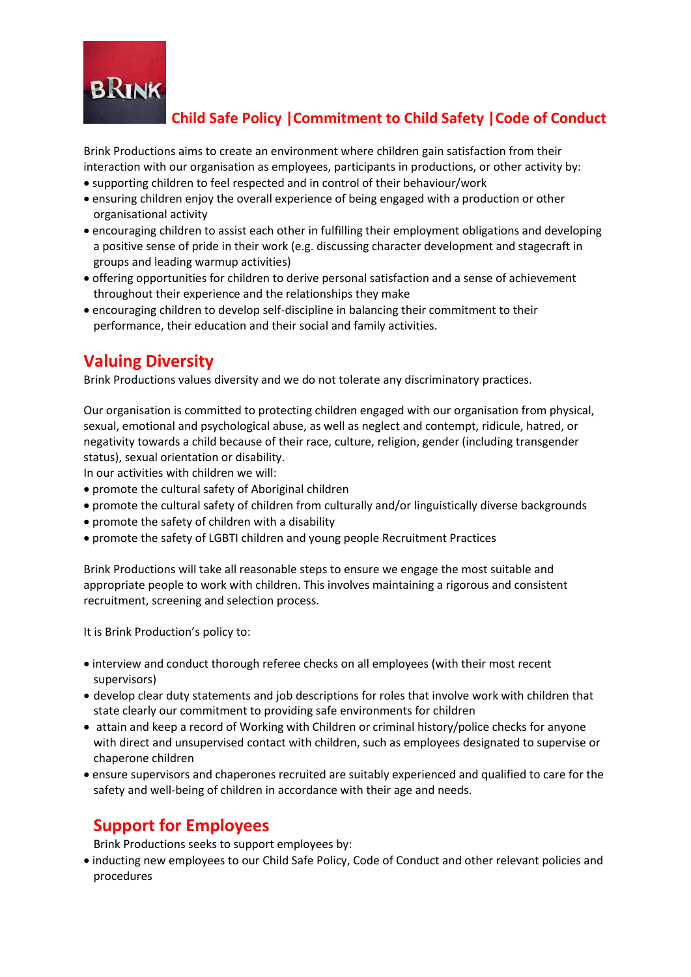

Brink Productions aims to create an environment where children gain satisfaction from their interaction with our organisation as employees, participants in productions, or other activity by:

- supporting children to feel respected and in control of their behaviour/work
- ensuring children enjoy the overall experience of being engaged with a production or other organisational activity
- encouraging children to assist each other in fulfilling their employment obligations and developing a positive sense of pride in their work (e.g. discussing character development and stagecraft in groups and leading warmup activities)
- offering opportunities for children to derive personal satisfaction and a sense of achievement throughout their experience and the relationships they make
- encouraging children to develop self-discipline in balancing their commitment to their performance, their education and their social and family activities.

## **Valuing Diversity**

Brink Productions values diversity and we do not tolerate any discriminatory practices.

Our organisation is committed to protecting children engaged with our organisation from physical, sexual, emotional and psychological abuse, as well as neglect and contempt, ridicule, hatred, or negativity towards a child because of their race, culture, religion, gender (including transgender status), sexual orientation or disability.

In our activities with children we will:

- promote the cultural safety of Aboriginal children
- promote the cultural safety of children from culturally and/or linguistically diverse backgrounds
- promote the safety of children with a disability
- promote the safety of LGBTI children and young people Recruitment Practices

Brink Productions will take all reasonable steps to ensure we engage the most suitable and appropriate people to work with children. This involves maintaining a rigorous and consistent recruitment, screening and selection process.

It is Brink Production's policy to:

- interview and conduct thorough referee checks on all employees (with their most recent supervisors)
- develop clear duty statements and job descriptions for roles that involve work with children that state clearly our commitment to providing safe environments for children
- attain and keep a record of Working with Children or criminal history/police checks for anyone with direct and unsupervised contact with children, such as employees designated to supervise or chaperone children
- ensure supervisors and chaperones recruited are suitably experienced and qualified to care for the safety and well-being of children in accordance with their age and needs.

# **Support for Employees**

Brink Productions seeks to support employees by:

 inducting new employees to our Child Safe Policy, Code of Conduct and other relevant policies and procedures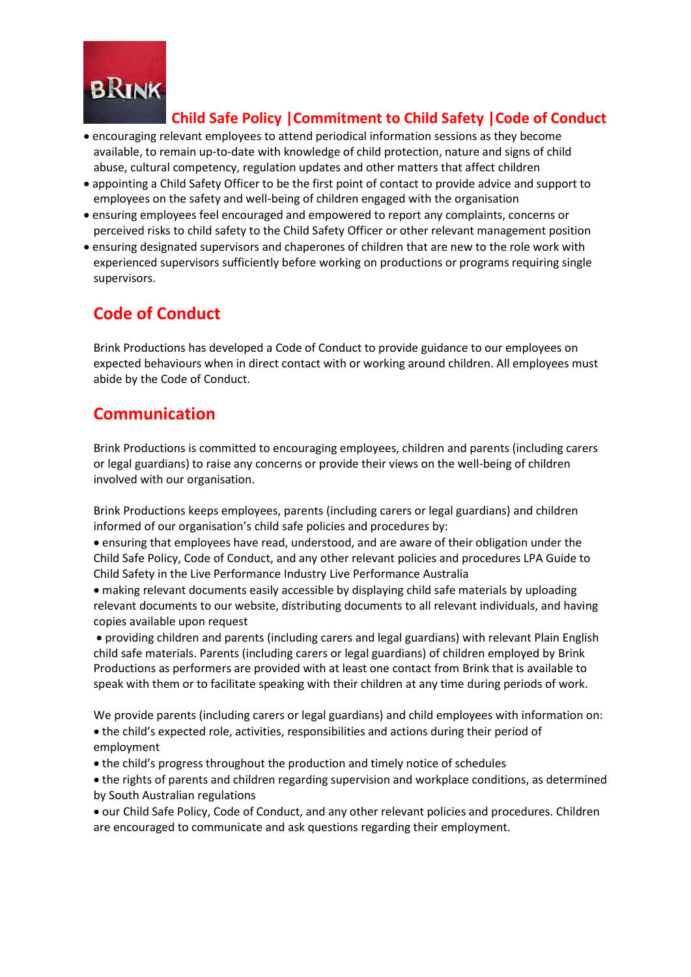

- encouraging relevant employees to attend periodical information sessions as they become available, to remain up-to-date with knowledge of child protection, nature and signs of child abuse, cultural competency, regulation updates and other matters that affect children
- appointing a Child Safety Officer to be the first point of contact to provide advice and support to employees on the safety and well-being of children engaged with the organisation
- ensuring employees feel encouraged and empowered to report any complaints, concerns or perceived risks to child safety to the Child Safety Officer or other relevant management position
- ensuring designated supervisors and chaperones of children that are new to the role work with experienced supervisors sufficiently before working on productions or programs requiring single supervisors.

# **Code of Conduct**

Brink Productions has developed a Code of Conduct to provide guidance to our employees on expected behaviours when in direct contact with or working around children. All employees must abide by the Code of Conduct.

### **Communication**

Brink Productions is committed to encouraging employees, children and parents (including carers or legal guardians) to raise any concerns or provide their views on the well-being of children involved with our organisation.

Brink Productions keeps employees, parents (including carers or legal guardians) and children informed of our organisation's child safe policies and procedures by:

 ensuring that employees have read, understood, and are aware of their obligation under the Child Safe Policy, Code of Conduct, and any other relevant policies and procedures LPA Guide to Child Safety in the Live Performance Industry Live Performance Australia

 making relevant documents easily accessible by displaying child safe materials by uploading relevant documents to our website, distributing documents to all relevant individuals, and having copies available upon request

 providing children and parents (including carers and legal guardians) with relevant Plain English child safe materials. Parents (including carers or legal guardians) of children employed by Brink Productions as performers are provided with at least one contact from Brink that is available to speak with them or to facilitate speaking with their children at any time during periods of work.

We provide parents (including carers or legal guardians) and child employees with information on: the child's expected role, activities, responsibilities and actions during their period of employment

- the child's progress throughout the production and timely notice of schedules
- the rights of parents and children regarding supervision and workplace conditions, as determined by South Australian regulations
- our Child Safe Policy, Code of Conduct, and any other relevant policies and procedures. Children are encouraged to communicate and ask questions regarding their employment.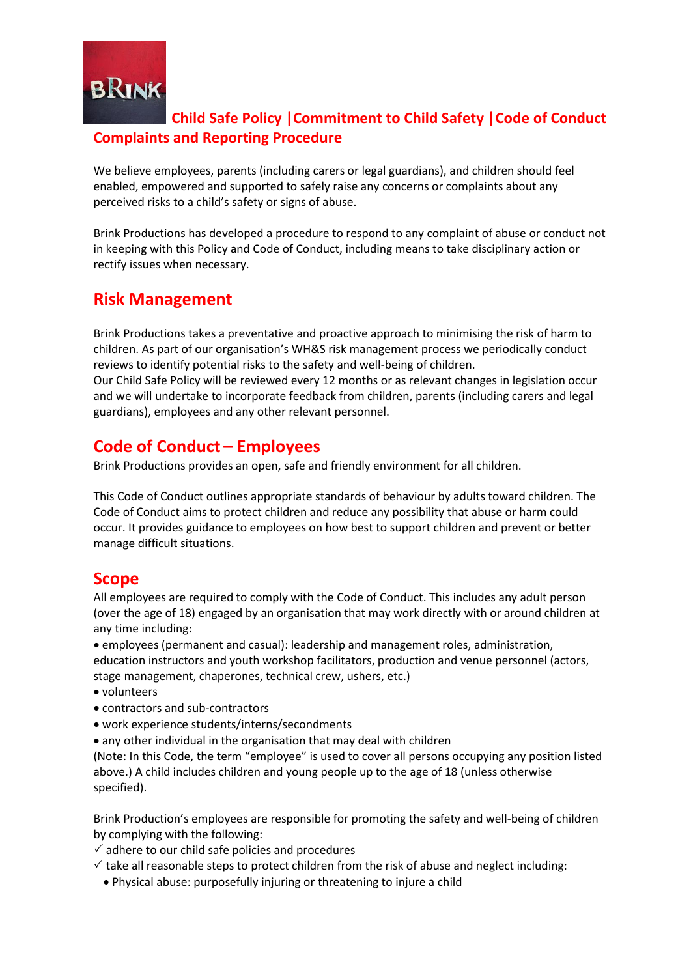

#### **Child Safe Policy |Commitment to Child Safety |Code of Conduct Complaints and Reporting Procedure**

We believe employees, parents (including carers or legal guardians), and children should feel enabled, empowered and supported to safely raise any concerns or complaints about any perceived risks to a child's safety or signs of abuse.

Brink Productions has developed a procedure to respond to any complaint of abuse or conduct not in keeping with this Policy and Code of Conduct, including means to take disciplinary action or rectify issues when necessary.

## **Risk Management**

Brink Productions takes a preventative and proactive approach to minimising the risk of harm to children. As part of our organisation's WH&S risk management process we periodically conduct reviews to identify potential risks to the safety and well-being of children. Our Child Safe Policy will be reviewed every 12 months or as relevant changes in legislation occur and we will undertake to incorporate feedback from children, parents (including carers and legal guardians), employees and any other relevant personnel.

#### **Code of Conduct – Employees**

Brink Productions provides an open, safe and friendly environment for all children.

This Code of Conduct outlines appropriate standards of behaviour by adults toward children. The Code of Conduct aims to protect children and reduce any possibility that abuse or harm could occur. It provides guidance to employees on how best to support children and prevent or better manage difficult situations.

## **Scope**

All employees are required to comply with the Code of Conduct. This includes any adult person (over the age of 18) engaged by an organisation that may work directly with or around children at any time including:

 employees (permanent and casual): leadership and management roles, administration, education instructors and youth workshop facilitators, production and venue personnel (actors, stage management, chaperones, technical crew, ushers, etc.)

- volunteers
- contractors and sub-contractors
- work experience students/interns/secondments
- any other individual in the organisation that may deal with children

(Note: In this Code, the term "employee" is used to cover all persons occupying any position listed above.) A child includes children and young people up to the age of 18 (unless otherwise specified).

Brink Production's employees are responsible for promoting the safety and well-being of children by complying with the following:

 $\checkmark$  adhere to our child safe policies and procedures

- $\checkmark$  take all reasonable steps to protect children from the risk of abuse and neglect including:
	- Physical abuse: purposefully injuring or threatening to injure a child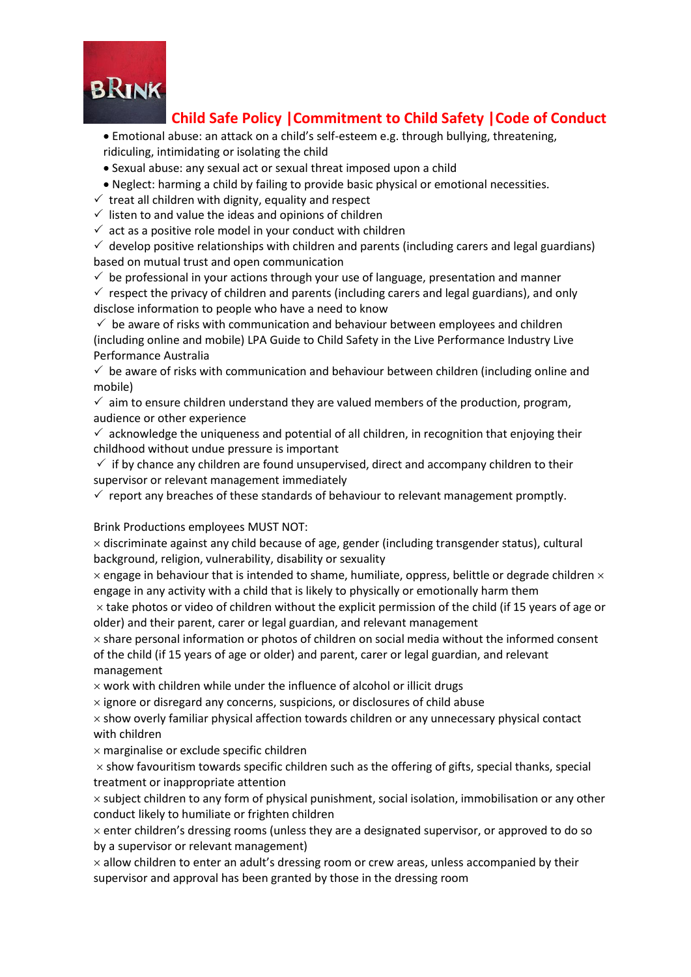

 Emotional abuse: an attack on a child's self-esteem e.g. through bullying, threatening, ridiculing, intimidating or isolating the child

Sexual abuse: any sexual act or sexual threat imposed upon a child

Neglect: harming a child by failing to provide basic physical or emotional necessities.

 $\checkmark$  treat all children with dignity, equality and respect

 $\checkmark$  listen to and value the ideas and opinions of children

 $\checkmark$  act as a positive role model in your conduct with children

 $\checkmark$  develop positive relationships with children and parents (including carers and legal guardians) based on mutual trust and open communication

 $\checkmark$  be professional in your actions through your use of language, presentation and manner

 $\checkmark$  respect the privacy of children and parents (including carers and legal guardians), and only disclose information to people who have a need to know

 $\checkmark$  be aware of risks with communication and behaviour between employees and children (including online and mobile) LPA Guide to Child Safety in the Live Performance Industry Live Performance Australia

 $\checkmark$  be aware of risks with communication and behaviour between children (including online and mobile)

 $\checkmark$  aim to ensure children understand they are valued members of the production, program, audience or other experience

 $\checkmark$  acknowledge the uniqueness and potential of all children, in recognition that enjoying their childhood without undue pressure is important

 $\checkmark$  if by chance any children are found unsupervised, direct and accompany children to their supervisor or relevant management immediately

 $\checkmark$  report any breaches of these standards of behaviour to relevant management promptly.

Brink Productions employees MUST NOT:

 $\times$  discriminate against any child because of age, gender (including transgender status), cultural background, religion, vulnerability, disability or sexuality

 $\times$  engage in behaviour that is intended to shame, humiliate, oppress, belittle or degrade children  $\times$ engage in any activity with a child that is likely to physically or emotionally harm them

 $\times$  take photos or video of children without the explicit permission of the child (if 15 years of age or older) and their parent, carer or legal guardian, and relevant management

 $\times$  share personal information or photos of children on social media without the informed consent of the child (if 15 years of age or older) and parent, carer or legal guardian, and relevant management

 $\times$  work with children while under the influence of alcohol or illicit drugs

 $\times$  ignore or disregard any concerns, suspicions, or disclosures of child abuse

 $\times$  show overly familiar physical affection towards children or any unnecessary physical contact with children

 $\times$  marginalise or exclude specific children

 $\times$  show favouritism towards specific children such as the offering of gifts, special thanks, special treatment or inappropriate attention

 $\times$  subject children to any form of physical punishment, social isolation, immobilisation or any other conduct likely to humiliate or frighten children

 $\times$  enter children's dressing rooms (unless they are a designated supervisor, or approved to do so by a supervisor or relevant management)

 $\times$  allow children to enter an adult's dressing room or crew areas, unless accompanied by their supervisor and approval has been granted by those in the dressing room